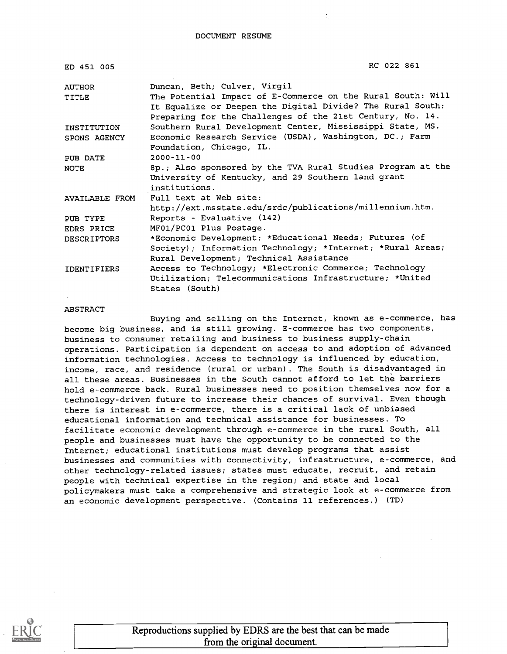| ED 451 005            | RC 022 861                                                                                                                                                                             |
|-----------------------|----------------------------------------------------------------------------------------------------------------------------------------------------------------------------------------|
| AUTHOR                | Duncan, Beth; Culver, Virgil                                                                                                                                                           |
| TITLE                 | The Potential Impact of E-Commerce on the Rural South: Will<br>It Equalize or Deepen the Digital Divide? The Rural South:<br>Preparing for the Challenges of the 21st Century, No. 14. |
| INSTITUTION           | Southern Rural Development Center, Mississippi State, MS.                                                                                                                              |
| SPONS AGENCY          | Economic Research Service (USDA), Washington, DC.; Farm<br>Foundation, Chicago, IL.                                                                                                    |
| PUB DATE              | $2000 - 11 - 00$                                                                                                                                                                       |
| <b>NOTE</b>           | 8p.; Also sponsored by the TVA Rural Studies Program at the<br>University of Kentucky, and 29 Southern land grant<br>institutions.                                                     |
| <b>AVAILABLE FROM</b> | Full text at Web site:                                                                                                                                                                 |
|                       | http://ext.msstate.edu/srdc/publications/millennium.htm.                                                                                                                               |
| PUB TYPE              | Reports - Evaluative (142)                                                                                                                                                             |
| EDRS PRICE            | MF01/PC01 Plus Postage.                                                                                                                                                                |
| <b>DESCRIPTORS</b>    | *Economic Development; *Educational Needs; Futures (of                                                                                                                                 |
|                       | Society); Information Technology; *Internet; *Rural Areas;                                                                                                                             |
|                       | Rural Development; Technical Assistance                                                                                                                                                |
| <b>IDENTIFIERS</b>    | Access to Technology; *Electronic Commerce; Technology                                                                                                                                 |
|                       | Utilization; Telecommunications Infrastructure; *United                                                                                                                                |
|                       | States (South)                                                                                                                                                                         |

#### ABSTRACT

Buying and selling on the Internet, known as e-commerce, has become big business, and is still growing. E-commerce has two components, business to consumer retailing and business to business supply-chain operations. Participation is dependent on access to and adoption of advanced information technologies. Access to technology is influenced by education, income, race, and residence (rural or urban). The South is disadvantaged in all these areas. Businesses in the South cannot afford to let the barriers hold e-commerce back. Rural businesses need to position themselves now for a technology-driven future to increase their chances of survival. Even though there is interest in e-commerce, there is a critical lack of unbiased educational information and technical assistance for businesses. To facilitate economic development through e-commerce in the rural South, all people and businesses must have the opportunity to be connected to the Internet; educational institutions must develop programs that assist businesses and communities with connectivity, infrastructure, e-commerce, and other technology-related issues; states must educate, recruit, and retain people with technical expertise in the region; and state and local policymakers must take a comprehensive and strategic look at e-commerce from an economic development perspective. (Contains 11 references.) (TD)

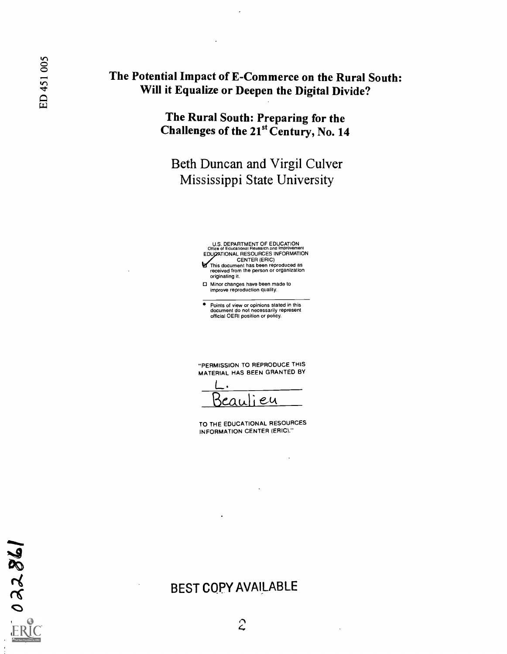### The Potential Impact of E-Commerce on the Rural South: Will it Equalize or Deepen the Digital Divide?

The Rural South: Preparing for the Challenges of the 21<sup>st</sup> Century, No. 14

### Beth Duncan and Virgil Culver Mississippi State University

- U.S. DEPARTMENT OF EDUCATION<br>Office of Educational Research and Improvement<br>EDUCATIONAL RESOURCES INFORMATION CENTER (ERIC) This document has been reproduced as received from the person or organization
- originating it.
- □ Minor changes have been made to improve reproduction quality.
- Points of view or opinions stated in this document do not necessarily represent official OERI position or policy.

"PERMISSION TO REPRODUCE THIS MATERIAL HAS BEEN GRANTED BY

 $L.$ eu

TO THE EDUCATIONAL RESOURCES INFORMATION CENTER (ERIC)."

### BEST COPY AVAILABLE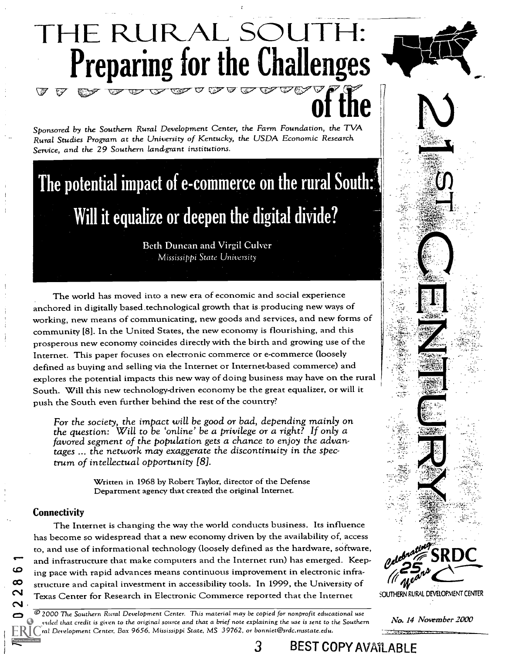## THE RURAL SOUTH Preparing for the Challenges EZ:7 TCY

Sponsored by the Southern Rural Development Center, the Farm Foundation, the TVA Rural Studies Program at the University of Kentucky, the USDA Economic Research Service, and the 29 Southern land-grant institutions.

# The potential impact of e-commerce on the rural South:' Will it equalize or deepen the digital divide?

Beth Duncan and Virgil Culver Mississippi State University

The world has moved into a new era of economic and social experience anchored in digitally based technological growth that is producing new ways of working, new means of communicating, new goods and services, and new forms of community [81. In the United States, the new economy is flourishing, and this prosperous new economy coincides directly with the birth and growing use of the Internet. This paper focuses on electronic commerce or e-commerce (loosely defined as buying and selling via the Internet or Internet-based commerce) and explores the potential impacts this new way of doing business may have on the rural South. Will this new technology-driven economy be the great equalizer, or will it push the South even further behind the rest of the country?

For the society, the impact will be good or bad, depending mainly on the question: Will to be 'online' be a privilege or a right? If only a favored segment of the population gets a chance to enjoy the advantages ... the network may exaggerate the discontinuity in the spectrum of intellectual opportunity [8].

> Written in 1968 by Robert Taylor, director of the Defense Department agency that created the original Internet.

#### **Connectivity**

ശ

The Internet is changing the way the world conducts business. Its influence has become so widespread that a new economy driven by the availability of, access to, and use of informational technology (loosely defined as the hardware, software, and infrastructure that make computers and the Internet run) has emerged. Keeping pace with rapid advances means continuous improvement in electronic infrastructure and capital investment in accessibility tools. In 1999, the University of Texas Center for Research in Electronic Commerce reported that the Internet

° 2000 The Southern Rural Development Center. This material may be copied for nonprofit educational use provided that credit is given to the original source and that a brief note explaining the use is sent to the Southern Rural Development Center, Box 9656, Mississippi State, MS 39762, or bonniet@srdc.msstate.edu.



**FRY**<br>SOUTHERN RURAL DEVELOPMENT CENTER

No. 14 November 2000

3 BEST COPY AVAILABLE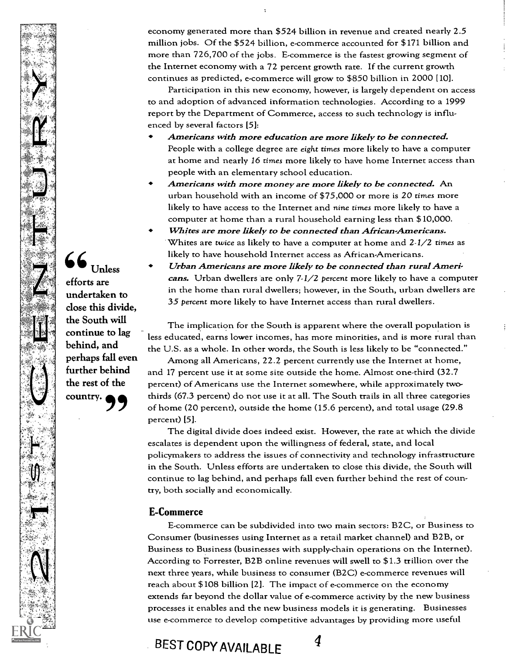economy generated more than \$524 billion in revenue and created nearly 2.5 million jobs. Of the \$524 billion, e-commerce accounted for \$171 billion and more than 726,700 of the jobs. E-commerce is the fastest growing segment of the Internet economy with a 72 percent growth rate. If the current growth continues as predicted, e-commerce will grow to \$850 billion in 2000 [10].

Participation in this new economy, however, is largely dependent on access to and adoption of advanced information technologies. According to a 1999 report by the Department of Commerce, access to such technology is influenced by several factors [5]:

- Americans with more education are more likely to be connected. People with a college degree are eight times more likely to have a computer at home and nearly 16 times more likely to have home Internet access than people with an elementary school education.
- Americans with more money are more likely to be connected. An urban household with an income of \$75,000 or more is 20 times more likely to have access to the Internet and nine times more likely to have a computer at home than a rural household earning less than \$10,000.
- Whites are more likely to be connected than African-Americans. Whites are twice as likely to have a computer at home and 2-1/2 times as likely to have household Internet access as African-Americans.
- Urban Americans are more likely to be connected than rural Americans. Urban dwellers are only  $7.1/2$  percent more likely to have a computer in the home than rural dwellers; however, in the South, urban dwellers are 35 percent more likely to have Internet access than rural dwellers.

The implication for the South is apparent where the overall population is less educated, earns lower incomes, has more minorities, and is more rural than the U.S. as a whole. In other words, the South is less likely to be "connected."

Among all Americans, 22.2 percent currently use the Internet at home, and 17 percent use it at some site outside the home. Almost one-third (32.7 percent) of Americans use the Internet somewhere, while approximately twothirds (67.3 percent) do not use it at all. The South trails in all three categories of home (20 percent), outside the home (15.6 percent), and total usage (29.8 percent) [5].

The digital divide does indeed exist. However, the rate at which the divide escalates is dependent upon the willingness of federal, state, and local policymakers to address the issues of connectivity and technology infrastructure in the South. Unless efforts are undertaken to close this divide, the South will continue to lag behind, and perhaps fall even further behind the rest of country, both socially and economically.

#### E-Commerce

E-commerce can be subdivided into two main sectors: B2C, or Business to Consumer (businesses using Internet as a retail market channel) and B2B, or Business to Business (businesses with supply-chain operations on the Internet). According to Forrester, B2B online revenues will swell to \$1.3 trillion over the next three years, while business to consumer (B2C) e-commerce revenues will reach about \$108 billion [2]. The impact of e-commerce on the economy extends far beyond the dollar value of e-commerce activity by the new business processes it enables and the new business models it is generating. Businesses use e-commerce to develop competitive advantages by providing more useful

BEST COPY AVAILABLE 4



66 Unless efforts are undertaken to close this divide, the South will continue to lag behind, and perhaps fall even further behind the rest of the country.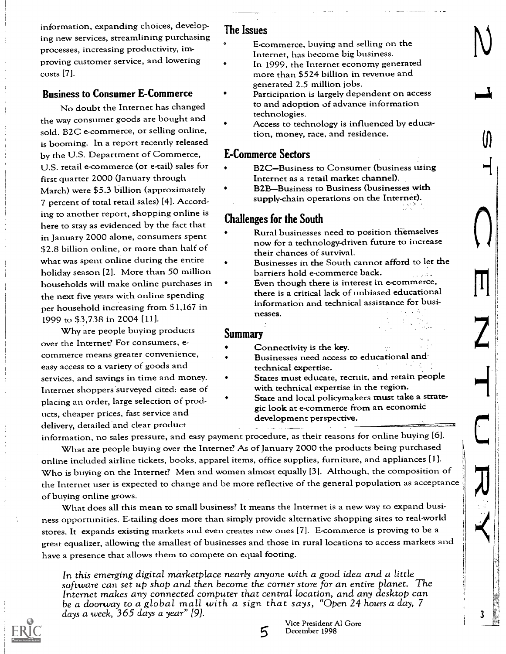information, expanding choices, developing new services, streamlining purchasing processes, increasing productivity, improving customer service, and lowering costs [7].

#### Business to Consumer E-Commerce

No doubt the Internet has changed the way consumer goods are bought and sold. B2C e-commerce, or selling online, is booming. In a report recently released by the U.S. Department of Commerce, U.S. retail e-commerce (or e-tail) sales for first quarter 2000 (January through March) were \$5.3 billion (approximately 7 percent of total retail sales) [4]. According to another report, shopping online is here to stay as evidenced by the fact that in January 2000 alone, consumers spent \$2.8 billion online, or more than half of what was spent online during the entire holiday season [2]. More than 50 million households will make online purchases in the next five years with online spending per household increasing from \$1,167 in 1999 to \$3,738 in 2004 [11].

Why are people buying products over the Internet? For consumers, ecommerce means greater convenience, easy access to a variety of goods and services, and savings in time and money. Internet shoppers surveyed cited: ease of placing an order, large selection of products, cheaper prices, fast service and delivery, detailed and clear product

#### The Issues

- E-commerce, buying and selling on the Internet, has become big business.
- In 1999, the Internet economy generated more than \$524 billion in revenue and generated 2.5 million jobs.
- Participation is largely dependent on access to and adoption of advance information technologies.
- Access to technology is influenced by education, money, race, and residence.

#### E-Commerce Sectors

- B2C-Business to Consumer (business using Internet as a retail market channel).
- B2B-Business to Business (businesses with supply-chain operations on the Internet).

#### Challenges for the South

- Rural businesses need ro position themselves now for a technology-driven future to increase their chances of survival.
- Businesses in the South cannot afford to let the barriers hold e-commerce back.  $\sim 10$ 
	- Even though there is interest in e-commerce, there is a critical lack of unbiased educational information and technical assistance for businesses.

#### Summary

 $\ddot{\cdot}$ 

- Connectivity is the key.
- Businesses need access to educational and technical expertise.
- States must educate, recruit, and retain people with technical expertise in the region.
- State and local policymakers must take a strategic look at e-commerce from an economic development perspective.

information, no sales pressure, and easy payment procedure, as their reasons for online buying [6]. What are people buying over the Internet? As of January 2000 the products being purchased online included airline tickets, books, apparel items, office supplies, furniture, and appliances [1]. Who is buying on the Internet? Men and women almost equally [3]. Although, the composition of the Internet user is expected to change and be more reflective of the general population as acceptance of buying online grows.

What does all this mean to small business? It means the Internet is a new way to expand business opportunities. E-tailing does more than simply provide alternative shopping sites to real-world stores. It expands existing markets and even creates new ones [7]. E-commerce is proving to be a great equalizer, allowing the smallest of businesses and those in rural locations to access markets and have a presence that allows them to compete on equal footing.

In this emerging digital marketplace nearly anyone with a good idea and a little software can set up shop and then become the corner store for an entire planet. The Internet makes any connected computer that central location, and any desktop can<br>be a doorway to a global mall with a sign that says, "Open 24 hours a day, 7 days a week, 365 days a year" [9].



5 December 1998Vice President Al Gore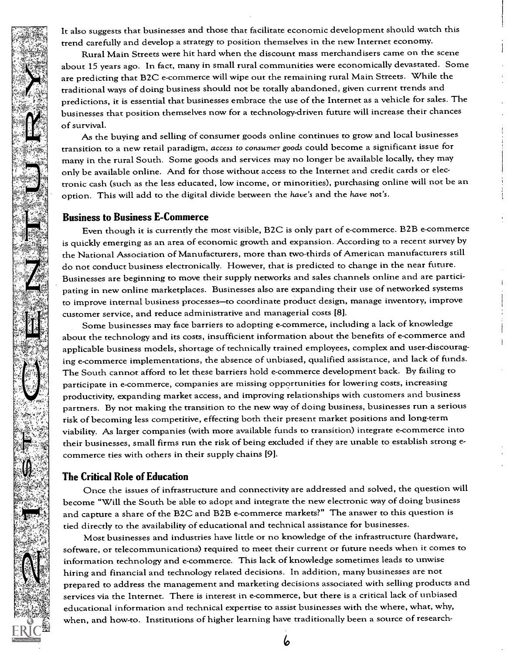It also suggests that businesses and those that facilitate economic development should watch this trend carefully and develop a strategy to position themselves in the new Internet economy.

Rural Main Streets were hit hard when the discount mass merchandisers came on the scene about 15 years ago. In fact, many in small rural communities were economically devastated. Some are predicting that B2C e-commerce will wipe out the remaining rural Main Streets. While the traditional ways of doing business should not be totally abandoned, given current trends and predictions, it is essential that businesses embrace the use of the Internet as a vehicle for sales. The businesses that position themselves now for a technology-driven future will increase their chances of survival.

As the buying and selling of consumer goods online continues to grow and local businesses transition to a new retail paradigm, access to consumer goods could become a significant issue for many in the rural South. Some goods and services may no longer be available locally, they may only be available online. And for those without access to the Internet and credit cards or electronic cash (such as the less educated, low income, or minorities), purchasing online will not be an option. This will add to the digital divide between the have's and the have not's.

#### Business to Business E-Commerce

Even though it is currently the most visible, B2C is only part of e-commerce. B2B e-commerce is quickly emerging as an area of economic growth and expansion. According to a recent survey by the National Association of Manufacturers, more than two-thirds of American manufacturers still do not conduct business electronically. However, that is predicted to change in the near future. Businesses are beginning to move their supply networks and sales channels online and are participating in new online marketplaces. Businesses also are expanding their use of networked systems to improve internal business processes-to coordinate product design, manage inventory, improve customer service, and reduce administrative and managerial costs [8].

Some businesses may face barriers to adopting e-commerce, including a lack of knowledge about the technology and its costs, insufficient information about the benefits of e-commerce and applicable business models, shortage of technically trained employees, complex and user-discouraging e-commerce implementations, the absence of unbiased, qualified assistance, and lack of funds. The South cannot afford to let these barriers hold e-commerce development back. By failing to participate in e-commerce, companies are missing opportunities for lowering costs, increasing productivity, expanding market access, and improving relationships with customers and business partners. By not making the transition to the new way of doing business, businesses run a serious risk of becoming less competitive, effecting both their present market positions and long-term viability. As larger companies (with more available funds to transition) integrate e-commerce into their businesses, small firms run the risk of being excluded if they are unable to establish strong ecommerce ties with others in their supply chains [9].

#### The Critical Role of Education

Once the issues of infrastructure and connectivity are addressed and solved, the question will become "Will the South be able to adopt and integrate the new electronic way of doing business and capture a share of the B2C and B2B e-commerce markets?" The answer to this question is tied directly to the availability of educational and technical assistance for businesses.

Most businesses and industries have little or no knowledge of the infrastructure (hardware, software, or telecommunications) required to meet their current or future needs when it comes to information technology and e-commerce. This lack of knowledge sometimes leads to unwise hiring and financial and technology related decisions. In addition, many businesses are not prepared to address the management and marketing decisions associated with selling products and services via the Internet. There is interest in e-commerce, but there is a critical lack of unbiased educational information and technical expertise to assist businesses with the where, what, why, when, and how-to. Institutions of higher learning have traditionally been a source of research-

6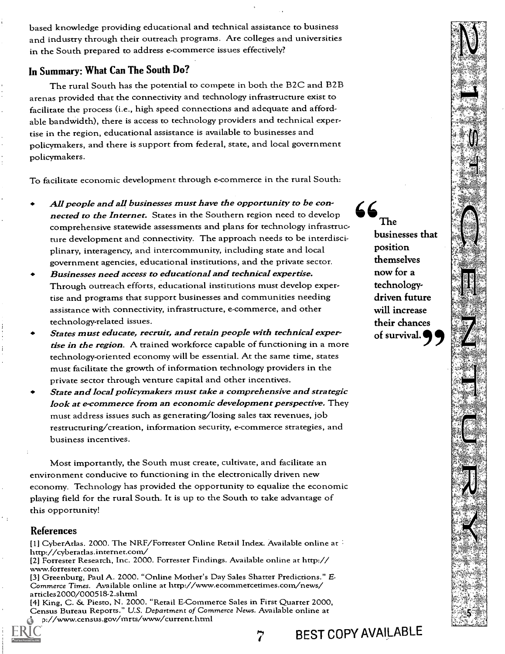based knowledge providing educational and technical assistance to business and industry through their outreach programs. Are colleges and universities in the South prepared to address e-commerce issues effectively?

#### In Summary: What Can The South Do?

The rural South has the potential to compete in both the B2C and B2B arenas provided that the connectivity and technology infrastructure exist to facilitate the process (i.e., high speed connections and adequate and affordable bandwidth), there is access to technology providers and technical expertise in the region, educational assistance is available to businesses and policymakers, and there is support from federal, state, and local government policymakers.

To facilitate economic development through e-commerce in the rural South:

- All people and all businesses must have the opportunity to be connected to the Internet. States in the Southern region need to develop  $\bullet$  The comprehensive statewide assessments and plans for technology infrastructure development and connectivity. The approach needs to be interdisciplinary, interagency, and intercommunity, including state and local government agencies, educational institutions, and the private sector.
- Businesses need access to educational and technical expertise. Through outreach efforts, educational institutions must develop expertise and programs that support businesses and communities needing assistance with connectivity, infrastructure, e-commerce, and other technology-related issues.
- States must educate, recruit, and retain people with technical expertise in the region. A trained workforce capable of functioning in a more technology-oriented economy will be essential. At the same time, states must facilitate the growth of information technology providers in the private sector through venture capital and other incentives.
- State and local policymakers must take a comprehensive and strategic look at e-commerce from an economic development perspective. They must address issues such as generating/losing sales tax revenues, job restructuring/creation, information security, e-commerce strategies, and business incentives.

Most importantly, the South must create, cultivate, and facilitate an environment conducive to functioning in the electronically driven new economy. Technology has provided the opportunity to equalize the economic playing field for the rural South. It is up to the South to take advantage of this opportunity!

#### References

[1] CyberAtlas. 2000. The NRF/Forrester Online Retail Index. Available online at  $\frac{1}{2}$ http://cyberatlas.internet.com/<br>[2] Forrester Research, Inc. 2000. Forrester Findings. Available online at http:// www.forrester.com<br>[3] Greenburg, Paul A. 2000. "Online Mother's Day Sales Shatter Predictions." E-

Commerce Times. Available online at http://www.ecommercetimes.com/news/ articles2000/000518-2.shtml

[4] King, C. & Piesto, N. 2000. "Retail E-Commerce Sales in First Quarter 2000, Census Bureau Reports." U.S. Department of Commerce News. Available online at p://www.census.gov/mrts/www/current.html

businesses that position themselves now for a technologydriven future will increase their chances of survival. 9



BEST COPY AVAILABLE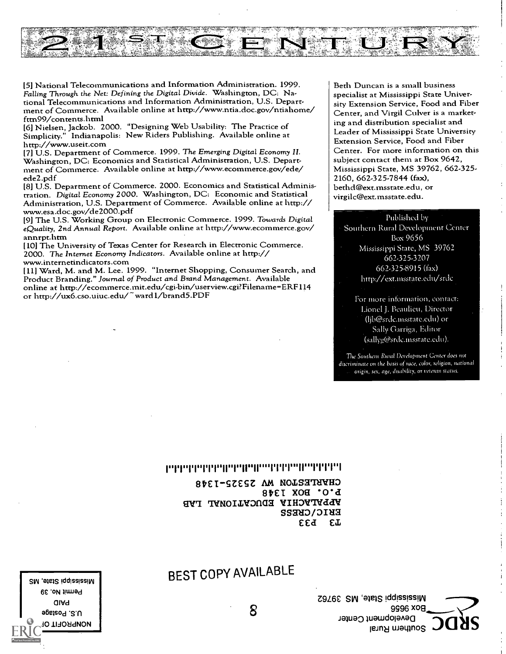

[5] National Telecommunications and Information Administration. 1999. Falling Through the Net: Defining the Digital Divide. Washington, DC: National Telecommunications and Information Administration, U.S. Department of Commerce. Available online at http://www.ntia.doc.gov/ntiahome/ fttn99/contents.html

[6] Nielsen, Jackob. 2000. "Designing Web Usability: The Practice of Simplicity." Indianapolis: New Riders Publishing. Available online at

http://www.useit.com<br>[7] U.S. Department of Commerce. 1999. The Emerging Digital Economy II. Washington, DC: Economics and Statistical Administration, U.S. Depart-<br>ment of Commerce. Available online at http://www.ecommerce.gov/ede/ ede2.pdf

[8] U.S. Department of Commerce. 2000. Economics and Statistical Administration. Digital Economy 2000. Washington, DC: Economic and Statistical Administration, U.S. Department of Commerce. Available online at http:// www.esa.doc.gov/de2000.pdf

[9] The U.S. Working Group on Electronic Commerce. 1999. Towards Digital eQuality, 2nd Annual Report. Available online at http://www.ecommerce.gov/ annrpt.htm

[10] The University of Texas Center for Research in Electronic Commerce. 2000. The Internet Economy Indicators. Available online at http:// www.internetindicators.com

[11] Ward, M. and M. Lee. 1999. "Internet Shopping, Consumer Search, and Product Branding." Journal of Product and Brand Management. Available online at http://ecommerce.mit.edu/cgi-bin/userview.cgi?Filename-ERF114 or http://ux6.cso.uiuc.edu/-wardl/brand5.PDF

Beth Duncan is a small business specialist at Mississippi State University Extension Service, Food and Fiber Center, and Virgil Culver is a marketing and distribution specialist and Leader of Mississippi State University Extension Service, Food and Fiber Center. For more information on this subject contact them at Box 9642, Mississippi State, MS 39762, 662-325-2160, 662-325-7844 (fax), bethd@ext.msstate.edu, or virgilc@ext.msstate.edu.

#### Published by

Southern Rural Development Center Box 9656 Mississippi State, MS 39762 662-325-3207 662-325.8915 (lax) http://ext.msstate.edu/srdc

For more information, contact: Lionel J. Beaulieu, Director (ljb@srdc.insstate.edii) or Sally Garriga, Editor (sallyg@srdc.insstate.edii).

The Southern Ruud Development Center does not discriminate on the basis of race, color, religion, national origin, sex, age, disability, or veteran statics.

#### րդգորդորդովուրդովթորդորդորանական

8tEISZESZ AM NOIS372lVHD 8tET XOS WAGVA EDOCYLIONY TYB ssauwoilla EEd E

Z9L6£ SIN '91eis !clOss!ss!Vg 9996 x0E1 Development Center southern Rural